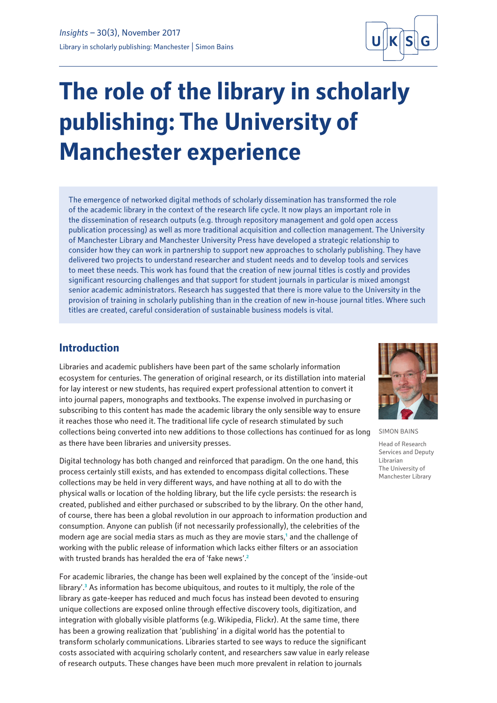

# **The role of the library in scholarly publishing: The University of Manchester experience**

The emergence of networked digital methods of scholarly dissemination has transformed the role of the academic library in the context of the research life cycle. It now plays an important role in the dissemination of research outputs (e.g. through repository management and gold open access publication processing) as well as more traditional acquisition and collection management. The University of Manchester Library and Manchester University Press have developed a strategic relationship to consider how they can work in partnership to support new approaches to scholarly publishing. They have delivered two projects to understand researcher and student needs and to develop tools and services to meet these needs. This work has found that the creation of new journal titles is costly and provides significant resourcing challenges and that support for student journals in particular is mixed amongst senior academic administrators. Research has suggested that there is more value to the University in the provision of training in scholarly publishing than in the creation of new in-house journal titles. Where such titles are created, careful consideration of sustainable business models is vital.

## **Introduction**

Libraries and academic publishers have been part of the same scholarly information ecosystem for centuries. The generation of original research, or its distillation into material for lay interest or new students, has required expert professional attention to convert it into journal papers, monographs and textbooks. The expense involved in purchasing or subscribing to this content has made the academic library the only sensible way to ensure it reaches those who need it. The traditional life cycle of research stimulated by such collections being converted into new additions to those collections has continued for as long as there have been libraries and university presses.

Digital technology has both changed and reinforced that paradigm. On the one hand, this process certainly still exists, and has extended to encompass digital collections. These collections may be held in very different ways, and have nothing at all to do with the physical walls or location of the holding library, but the life cycle persists: the research is created, published and either purchased or subscribed to by the library. On the other hand, of course, there has been a global revolution in our approach to information production and consumption. Anyone can publish (if not necessarily professionally), the celebrities of the modern age are social media stars as much as they are movie stars,**<sup>1</sup>** and the challenge of working with the public release of information which lacks either filters or an association with trusted brands has heralded the era of 'fake news'.**<sup>2</sup>**

For academic libraries, the change has been well explained by the concept of the 'inside-out library'.**<sup>3</sup>** As information has become ubiquitous, and routes to it multiply, the role of the library as gate-keeper has reduced and much focus has instead been devoted to ensuring unique collections are exposed online through effective discovery tools, digitization, and integration with globally visible platforms (e.g. Wikipedia, Flickr). At the same time, there has been a growing realization that 'publishing' in a digital world has the potential to transform scholarly communications. Libraries started to see ways to reduce the significant costs associated with acquiring scholarly content, and researchers saw value in early release of research outputs. These changes have been much more prevalent in relation to journals



SIMON BAINS

Head of Research Services and Deputy Librarian The University of Manchester Library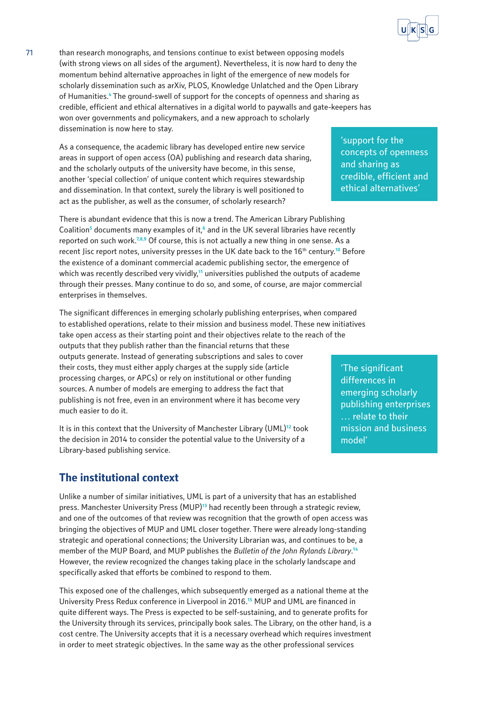

As a consequence, the academic library has developed entire new service areas in support of open access (OA) publishing and research data sharing, and the scholarly outputs of the university have become, in this sense, another 'special collection' of unique content which requires stewardship and dissemination. In that context, surely the library is well positioned to act as the publisher, as well as the consumer, of scholarly research?

There is abundant evidence that this is now a trend. The American Library Publishing Coalition<sup>5</sup> documents many examples of it,<sup>6</sup> and in the UK several libraries have recently reported on such work.**7,8,9** Of course, this is not actually a new thing in one sense. As a recent Jisc report notes, university presses in the UK date back to the 16<sup>th</sup> century.<sup>10</sup> Before the existence of a dominant commercial academic publishing sector, the emergence of which was recently described very vividly,**<sup>11</sup>** universities published the outputs of academe through their presses. Many continue to do so, and some, of course, are major commercial enterprises in themselves.

The significant differences in emerging scholarly publishing enterprises, when compared to established operations, relate to their mission and business model. These new initiatives take open access as their starting point and their objectives relate to the reach of the outputs that they publish rather than the financial returns that these outputs generate. Instead of generating subscriptions and sales to cover their costs, they must either apply charges at the supply side (article processing charges, or APCs) or rely on institutional or other funding sources. A number of models are emerging to address the fact that publishing is not free, even in an environment where it has become very much easier to do it.

It is in this context that the University of Manchester Library (UML)**<sup>12</sup>** took the decision in 2014 to consider the potential value to the University of a Library-based publishing service.

## **The institutional context**

Unlike a number of similar initiatives, UML is part of a university that has an established press. Manchester University Press (MUP)**<sup>13</sup>** had recently been through a strategic review, and one of the outcomes of that review was recognition that the growth of open access was bringing the objectives of MUP and UML closer together. There were already long-standing strategic and operational connections; the University Librarian was, and continues to be, a member of the MUP Board, and MUP publishes the *Bulletin of the John Rylands Library*. **14** However, the review recognized the changes taking place in the scholarly landscape and specifically asked that efforts be combined to respond to them.

This exposed one of the challenges, which subsequently emerged as a national theme at the University Press Redux conference in Liverpool in 2016.**<sup>15</sup>** MUP and UML are financed in quite different ways. The Press is expected to be self-sustaining, and to generate profits for the University through its services, principally book sales. The Library, on the other hand, is a cost centre. The University accepts that it is a necessary overhead which requires investment in order to meet strategic objectives. In the same way as the other professional services

'support for the concepts of openness and sharing as credible, efficient and ethical alternatives'

'The significant differences in emerging scholarly publishing enterprises … relate to their mission and business model'

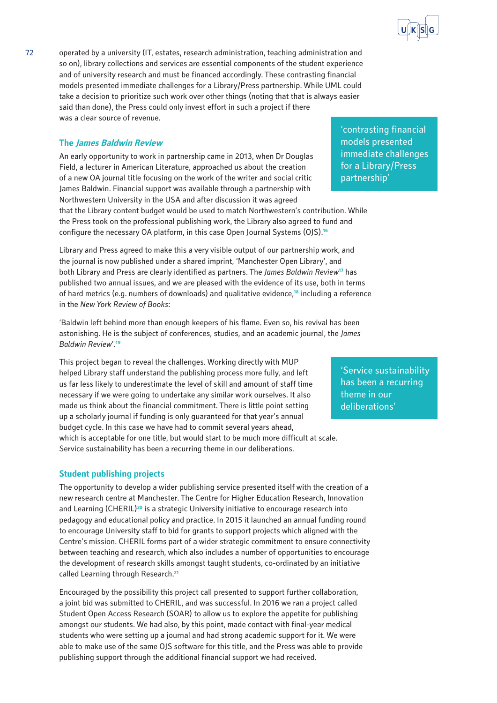

72 operated by a university (IT, estates, research administration, teaching administration and so on), library collections and services are essential components of the student experience and of university research and must be financed accordingly. These contrasting financial models presented immediate challenges for a Library/Press partnership. While UML could take a decision to prioritize such work over other things (noting that that is always easier said than done), the Press could only invest effort in such a project if there was a clear source of revenue.

## **The James Baldwin Review**

An early opportunity to work in partnership came in 2013, when Dr Douglas Field, a lecturer in American Literature, approached us about the creation of a new OA journal title focusing on the work of the writer and social critic James Baldwin. Financial support was available through a partnership with Northwestern University in the USA and after discussion it was agreed that the Library content budget would be used to match Northwestern's contribution. While the Press took on the professional publishing work, the Library also agreed to fund and configure the necessary OA platform, in this case Open Journal Systems (OJS).**<sup>16</sup>**

Library and Press agreed to make this a very visible output of our partnership work, and the journal is now published under a shared imprint, 'Manchester Open Library', and both Library and Press are clearly identified as partners. The *James Baldwin Review***<sup>17</sup>** has published two annual issues, and we are pleased with the evidence of its use, both in terms of hard metrics (e.g. numbers of downloads) and qualitative evidence,**<sup>18</sup>** including a reference in the *New York Review of Books*:

'Baldwin left behind more than enough keepers of his flame. Even so, his revival has been astonishing. He is the subject of conferences, studies, and an academic journal, the *James Baldwin Review*'.**<sup>19</sup>**

This project began to reveal the challenges. Working directly with MUP helped Library staff understand the publishing process more fully, and left us far less likely to underestimate the level of skill and amount of staff time necessary if we were going to undertake any similar work ourselves. It also made us think about the financial commitment. There is little point setting up a scholarly journal if funding is only guaranteed for that year's annual budget cycle. In this case we have had to commit several years ahead, which is acceptable for one title, but would start to be much more difficult at scale. Service sustainability has been a recurring theme in our deliberations.

### **Student publishing projects**

The opportunity to develop a wider publishing service presented itself with the creation of a new research centre at Manchester. The Centre for Higher Education Research, Innovation and Learning (CHERIL)**<sup>20</sup>** is a strategic University initiative to encourage research into pedagogy and educational policy and practice. In 2015 it launched an annual funding round to encourage University staff to bid for grants to support projects which aligned with the Centre's mission. CHERIL forms part of a wider strategic commitment to ensure connectivity between teaching and research, which also includes a number of opportunities to encourage the development of research skills amongst taught students, co-ordinated by an initiative called Learning through Research.**<sup>21</sup>**

Encouraged by the possibility this project call presented to support further collaboration, a joint bid was submitted to CHERIL, and was successful. In 2016 we ran a project called Student Open Access Research (SOAR) to allow us to explore the appetite for publishing amongst our students. We had also, by this point, made contact with final-year medical students who were setting up a journal and had strong academic support for it. We were able to make use of the same OJS software for this title, and the Press was able to provide publishing support through the additional financial support we had received.

'contrasting financial models presented immediate challenges for a Library/Press partnership'

'Service sustainability has been a recurring theme in our deliberations'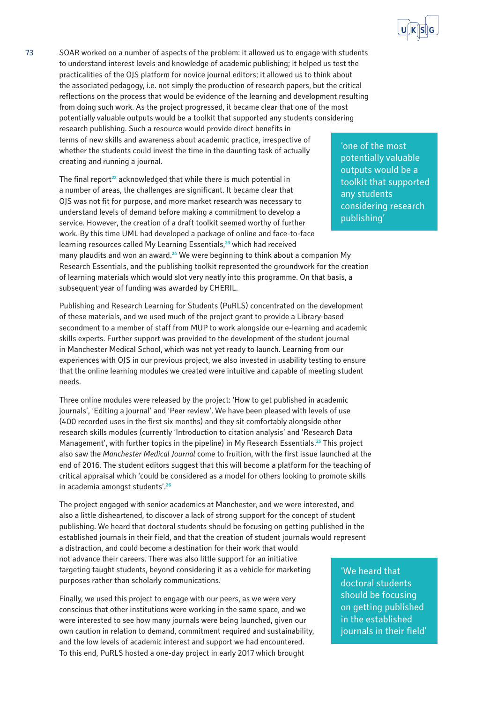

73 SOAR worked on a number of aspects of the problem: it allowed us to engage with students to understand interest levels and knowledge of academic publishing; it helped us test the practicalities of the OJS platform for novice journal editors; it allowed us to think about the associated pedagogy, i.e. not simply the production of research papers, but the critical reflections on the process that would be evidence of the learning and development resulting from doing such work. As the project progressed, it became clear that one of the most potentially valuable outputs would be a toolkit that supported any students considering research publishing. Such a resource would provide direct benefits in terms of new skills and awareness about academic practice, irrespective of whether the students could invest the time in the daunting task of actually creating and running a journal.

The final report**<sup>22</sup>** acknowledged that while there is much potential in a number of areas, the challenges are significant. It became clear that OJS was not fit for purpose, and more market research was necessary to understand levels of demand before making a commitment to develop a service. However, the creation of a draft toolkit seemed worthy of further work. By this time UML had developed a package of online and face-to-face learning resources called My Learning Essentials,**<sup>23</sup>** which had received many plaudits and won an award.**<sup>24</sup>** We were beginning to think about a companion My Research Essentials, and the publishing toolkit represented the groundwork for the creation of learning materials which would slot very neatly into this programme. On that basis, a subsequent year of funding was awarded by CHERIL.

Publishing and Research Learning for Students (PuRLS) concentrated on the development of these materials, and we used much of the project grant to provide a Library-based secondment to a member of staff from MUP to work alongside our e-learning and academic skills experts. Further support was provided to the development of the student journal in Manchester Medical School, which was not yet ready to launch. Learning from our experiences with OJS in our previous project, we also invested in usability testing to ensure that the online learning modules we created were intuitive and capable of meeting student needs.

Three online modules were released by the project: 'How to get published in academic journals', 'Editing a journal' and 'Peer review'. We have been pleased with levels of use (400 recorded uses in the first six months) and they sit comfortably alongside other research skills modules (currently 'Introduction to citation analysis' and 'Research Data Management', with further topics in the pipeline) in My Research Essentials.**<sup>25</sup>** This project also saw the *Manchester Medical Journal* come to fruition, with the first issue launched at the end of 2016. The student editors suggest that this will become a platform for the teaching of critical appraisal which 'could be considered as a model for others looking to promote skills in academia amongst students'.**<sup>26</sup>**

The project engaged with senior academics at Manchester, and we were interested, and also a little disheartened, to discover a lack of strong support for the concept of student publishing. We heard that doctoral students should be focusing on getting published in the established journals in their field, and that the creation of student journals would represent a distraction, and could become a destination for their work that would not advance their careers. There was also little support for an initiative targeting taught students, beyond considering it as a vehicle for marketing purposes rather than scholarly communications.

Finally, we used this project to engage with our peers, as we were very conscious that other institutions were working in the same space, and we were interested to see how many journals were being launched, given our own caution in relation to demand, commitment required and sustainability, and the low levels of academic interest and support we had encountered. To this end, PuRLS hosted a one-day project in early 2017 which brought

'one of the most potentially valuable outputs would be a toolkit that supported any students considering research publishing'

'We heard that doctoral students should be focusing on getting published in the established journals in their field'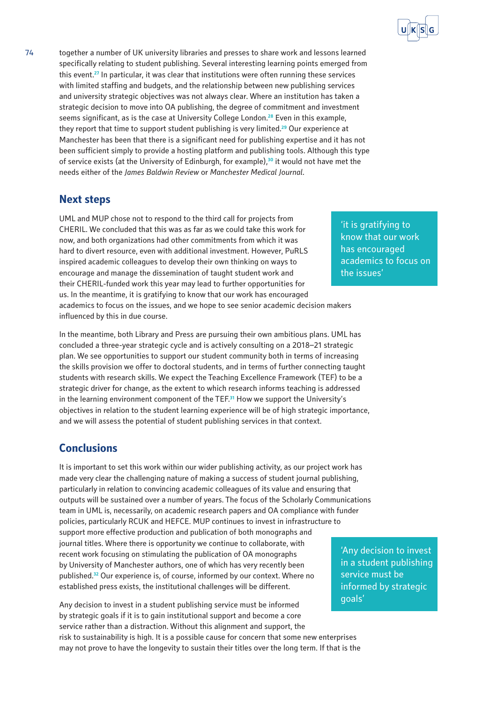

74 together a number of UK university libraries and presses to share work and lessons learned specifically relating to student publishing. Several interesting learning points emerged from this event.**<sup>27</sup>** In particular, it was clear that institutions were often running these services with limited staffing and budgets, and the relationship between new publishing services and university strategic objectives was not always clear. Where an institution has taken a strategic decision to move into OA publishing, the degree of commitment and investment seems significant, as is the case at University College London.**<sup>28</sup>** Even in this example, they report that time to support student publishing is very limited.**<sup>29</sup>** Our experience at Manchester has been that there is a significant need for publishing expertise and it has not been sufficient simply to provide a hosting platform and publishing tools. Although this type of service exists (at the University of Edinburgh, for example),**<sup>30</sup>** it would not have met the needs either of the *James Baldwin Review* or *Manchester Medical Journal*.

## **Next steps**

UML and MUP chose not to respond to the third call for projects from CHERIL. We concluded that this was as far as we could take this work for now, and both organizations had other commitments from which it was hard to divert resource, even with additional investment. However, PuRLS inspired academic colleagues to develop their own thinking on ways to encourage and manage the dissemination of taught student work and their CHERIL-funded work this year may lead to further opportunities for us. In the meantime, it is gratifying to know that our work has encouraged academics to focus on the issues, and we hope to see senior academic decision makers influenced by this in due course.

In the meantime, both Library and Press are pursuing their own ambitious plans. UML has concluded a three-year strategic cycle and is actively consulting on a 2018–21 strategic plan. We see opportunities to support our student community both in terms of increasing the skills provision we offer to doctoral students, and in terms of further connecting taught students with research skills. We expect the Teaching Excellence Framework (TEF) to be a strategic driver for change, as the extent to which research informs teaching is addressed in the learning environment component of the TEF.**<sup>31</sup>** How we support the University's objectives in relation to the student learning experience will be of high strategic importance, and we will assess the potential of student publishing services in that context.

# **Conclusions**

It is important to set this work within our wider publishing activity, as our project work has made very clear the challenging nature of making a success of student journal publishing, particularly in relation to convincing academic colleagues of its value and ensuring that outputs will be sustained over a number of years. The focus of the Scholarly Communications team in UML is, necessarily, on academic research papers and OA compliance with funder policies, particularly RCUK and HEFCE. MUP continues to invest in infrastructure to support more effective production and publication of both monographs and journal titles. Where there is opportunity we continue to collaborate, with recent work focusing on stimulating the publication of OA monographs by University of Manchester authors, one of which has very recently been published.**<sup>32</sup>** Our experience is, of course, informed by our context. Where no established press exists, the institutional challenges will be different.

Any decision to invest in a student publishing service must be informed by strategic goals if it is to gain institutional support and become a core service rather than a distraction. Without this alignment and support, the risk to sustainability is high. It is a possible cause for concern that some new enterprises may not prove to have the longevity to sustain their titles over the long term. If that is the

'it is gratifying to know that our work has encouraged academics to focus on the issues'

'Any decision to invest in a student publishing service must be informed by strategic goals'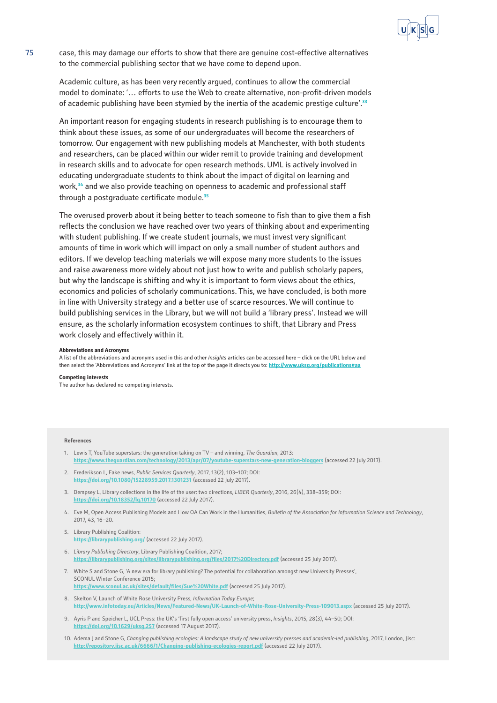

75 case, this may damage our efforts to show that there are genuine cost-effective alternatives to the commercial publishing sector that we have come to depend upon.

Academic culture, as has been very recently argued, continues to allow the commercial model to dominate: '… efforts to use the Web to create alternative, non-profit-driven models of academic publishing have been stymied by the inertia of the academic prestige culture'.**<sup>33</sup>**

An important reason for engaging students in research publishing is to encourage them to think about these issues, as some of our undergraduates will become the researchers of tomorrow. Our engagement with new publishing models at Manchester, with both students and researchers, can be placed within our wider remit to provide training and development in research skills and to advocate for open research methods. UML is actively involved in educating undergraduate students to think about the impact of digital on learning and work,**<sup>34</sup>** and we also provide teaching on openness to academic and professional staff through a postgraduate certificate module.**<sup>35</sup>**

The overused proverb about it being better to teach someone to fish than to give them a fish reflects the conclusion we have reached over two years of thinking about and experimenting with student publishing. If we create student journals, we must invest very significant amounts of time in work which will impact on only a small number of student authors and editors. If we develop teaching materials we will expose many more students to the issues and raise awareness more widely about not just how to write and publish scholarly papers, but why the landscape is shifting and why it is important to form views about the ethics, economics and policies of scholarly communications. This, we have concluded, is both more in line with University strategy and a better use of scarce resources. We will continue to build publishing services in the Library, but we will not build a 'library press'. Instead we will ensure, as the scholarly information ecosystem continues to shift, that Library and Press work closely and effectively within it.

#### **Abbreviations and Acronyms**

A list of the abbreviations and acronyms used in this and other *Insight*s articles can be accessed here – click on the URL below and then select the 'Abbreviations and Acronyms' link at the top of the page it directs you to: **http://www.uksg.org/publications** 

**Competing interests**

The author has declared no competing interests.

#### **References**

- 1. Lewis T, YouTube superstars: the generation taking on TV and winning, *The Guardian*, 2013: **<https://www.theguardian.com/technology/2013/apr/07/youtube-superstars-new-generation-bloggers>** (accessed 22 July 2017).
- 2. Frederikson L, Fake news, *Public Services Quarterly*, 2017, 13(2), 103–107; DOI: **<https://doi.org/10.1080/15228959.2017.1301231>** (accessed 22 July 2017).
- 3. Dempsey L, Library collections in the life of the user: two directions, *LIBER Quarterly*, 2016, 26(4), 338–359; DOI: **<https://doi.org/10.18352/lq.10170>** (accessed 22 July 2017).
- 4. Eve M, Open Access Publishing Models and How OA Can Work in the Humanities, *Bulletin of the Association for Information Science and Technology*, 2017, 43, 16–20.
- 5. Library Publishing Coalition: **<https://librarypublishing.org/>** (accessed 22 July 2017).
- 6. *Library Publishing Directory*, Library Publishing Coalition, 2017; **<https://librarypublishing.org/sites/librarypublishing.org/files/2017%20Directory.pdf>** (accessed 25 July 2017).
- 7. White S and Stone G, 'A new era for library publishing? The potential for collaboration amongst new University Presses', SCONUL Winter Conference 2015; **<https://www.sconul.ac.uk/sites/default/files/Sue%20White.pdf>** (accessed 25 July 2017).
- 8. Skelton V, Launch of White Rose University Press*, Information Today Europe*; **<http://www.infotoday.eu/Articles/News/Featured-News/UK-Launch-of-White-Rose-University-Press-109013.aspx>** (accessed 25 July 2017).
- 9. Ayris P and Speicher L, UCL Press: the UK's 'first fully open access' university press, *Insights*, 2015, 28(3), 44–50; DOI: **<https://doi.org/10.1629/uksg.257>** (accessed 17 August 2017).
- 10. Adema J and Stone G, *Changing publishing ecologies: A landscape study of new university presses and academic-led publishing*, 2017, London, Jisc: **<http://repository.jisc.ac.uk/6666/1/Changing-publishing-ecologies-report.pdf>** (accessed 22 July 2017).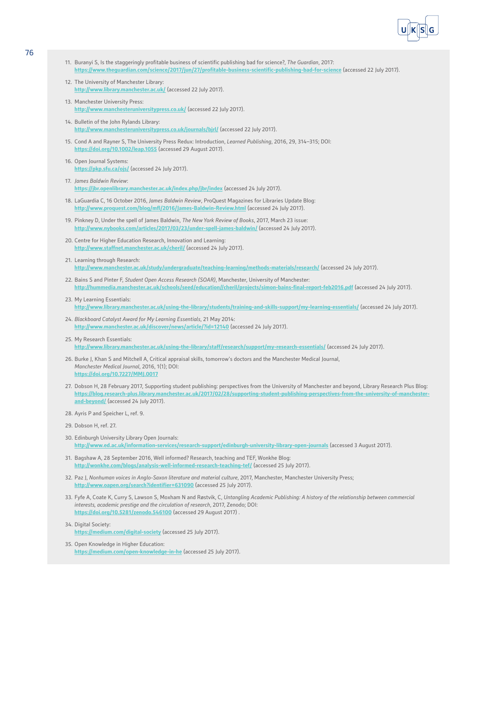

- 11. Buranyi S, Is the staggeringly profitable business of scientific publishing bad for science?, *The Guardian*, 2017: **<https://www.theguardian.com/science/2017/jun/27/profitable-business-scientific-publishing-bad-for-science>** (accessed 22 July 2017).
- 12. The University of Manchester Library: **<http://www.library.manchester.ac.uk/>** (accessed 22 July 2017).
- 13. Manchester University Press: **<http://www.manchesteruniversitypress.co.uk/>** (accessed 22 July 2017).
- 14. Bulletin of the John Rylands Library: **<http://www.manchesteruniversitypress.co.uk/journals/bjrl/>** (accessed 22 July 2017).
- 15. Cond A and Rayner S, The University Press Redux: Introduction, *Learned Publishing*, 2016, 29, 314–315; DOI: **<https://doi.org/10.1002/leap.1055>** (accessed 29 August 2017).
- 16. Open Journal Systems: **<https://pkp.sfu.ca/ojs/>** (accessed 24 July 2017).
- 17. *James Baldwin Review*: **<https://jbr.openlibrary.manchester.ac.uk/index.php/jbr/index>** (accessed 24 July 2017).
- 18. LaGuardia C, 16 October 2016, *James Baldwin Review*, ProQuest Magazines for Libraries Update Blog: **<http://www.proquest.com/blog/mfl/2016/James-Baldwin-Review.html>** (accessed 24 July 2017).
- 19. Pinkney D, Under the spell of James Baldwin, *The New York Review of Books*, 2017, March 23 issue: **<http://www.nybooks.com/articles/2017/03/23/under-spell-james-baldwin/>** (accessed 24 July 2017).
- 20. Centre for Higher Education Research, Innovation and Learning: <http://www.staffnet.manchester.ac.uk/cheril/> (accessed 24 July 2017).
- 21. Learning through Research: **<http://www.manchester.ac.uk/study/undergraduate/teaching-learning/methods-materials/research/>** (accessed 24 July 2017).
- 22. Bains S and Pinter F, *Student Open Access Research (SOAR)*, Manchester, University of Manchester: **<http://hummedia.manchester.ac.uk/schools/seed/education//cheril/projects/simon-bains-final-report-feb2016.pdf>** (accessed 24 July 2017).
- 23. My Learning Essentials: **<http://www.library.manchester.ac.uk/using-the-library/students/training-and-skills-support/my-learning-essentials/>** (accessed 24 July 2017).
- 24. *Blackboard Catalyst Award for My Learning Essentials*, 21 May 2014: **<http://www.manchester.ac.uk/discover/news/article/?id=12140>** (accessed 24 July 2017).
- 25. My Research Essentials: **<http://www.library.manchester.ac.uk/using-the-library/staff/research/support/my-research-essentials/>** (accessed 24 July 2017).
- 26. Burke J, Khan S and Mitchell A, Critical appraisal skills, tomorrow's doctors and the Manchester Medical Journal, *Manchester Medical Journal*, 2016, 1(1); DOI: **<https://doi.org/10.7227/MMJ.0017>**
- 27. Dobson H, 28 February 2017, Supporting student publishing: perspectives from the University of Manchester and beyond, Library Research Plus Blog: **[https://blog.research-plus.library.manchester.ac.uk/2017/02/28/supporting-student-publishing-perspectives-from-the-university-of-manchester](https://blog.research-plus.library.manchester.ac.uk/2017/02/28/supporting-student-publishing-perspectives-from-the-university-of-manchester-and-beyond/)[and-beyond/](https://blog.research-plus.library.manchester.ac.uk/2017/02/28/supporting-student-publishing-perspectives-from-the-university-of-manchester-and-beyond/)** (accessed 24 July 2017).
- 28. Ayris P and Speicher L, ref. 9.
- 29. Dobson H, ref. 27.
- 30. Edinburgh University Library Open Journals: **<http://www.ed.ac.uk/information-services/research-support/edinburgh-university-library-open-journals>** (accessed 3 August 2017).
- 31. Bagshaw A, 28 September 2016, Well informed? Research, teaching and TEF, Wonkhe Blog: **<http://wonkhe.com/blogs/analysis-well-informed-research-teaching-tef/>** (accessed 25 July 2017).
- 32. Paz J, Nonhuman voices in Anglo-Saxon literature and material culture, 2017, Manchester, Manchester University Press; **<http://www.oapen.org/search?identifier=631090>** (accessed 25 July 2017).
- 33. Fyfe A, Coate K, Curry S, Lawson S, Moxham N and Røstvik, C, *Untangling Academic Publishing: A history of the relationship between commercial interests, academic prestige and the circulation of research*, 2017, Zenodo; DOI: **<https://doi.org/10.5281/zenodo.546100>** (accessed 29 August 2017) .
- 34. Digital Society: **<https://medium.com/digital-society>** (accessed 25 July 2017).
- 35. Open Knowledge in Higher Education: **<https://medium.com/open-knowledge-in-he>** (accessed 25 July 2017).